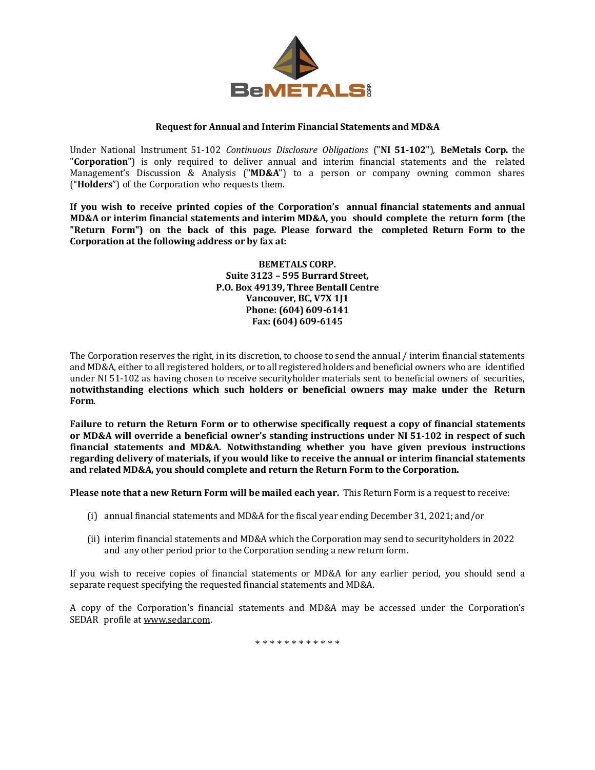

## **Request for Annual and Interim Financial Statements and MD&A**

Under National Instrument 51‐102 *Continuous Disclosure Obligations* ("**NI 51‐102**"), **BeMetals Corp.** the "**Corporation**") is only required to deliver annual and interim financial statements and the related Management's Discussion & Analysis ("**MD&A**") to a person or company owning common shares ("**Holders**") of the Corporation who requests them.

**If you wish to receive printed copies of the Corporation's annual financial statements and annual MD&A or interim financial statements and interim MD&A, you should complete the return form (the "Return Form") on the back of this page. Please forward the completed Return Form to the Corporation at the following address or by fax at:**

> **BEMETALS CORP. Suite 3123 – 595 Burrard Street, P.O. Box 49139, Three Bentall Centre Vancouver, BC, V7X 1J1 Phone: (604) 609-6141 Fax: (604) 609-6145**

The Corporation reserves the right, in its discretion, to choose to send the annual / interim financial statements and MD&A, either to all registered holders, or to all registered holders and beneficial owners who are identified under NI 51-102 as having chosen to receive securityholder materials sent to beneficial owners of securities, **notwithstanding elections which such holders or beneficial owners may make under the Return Form**.

**Failure to return the Return Form or to otherwise specifically request a copy of financial statements or MD&A will override a beneficial owner's standing instructions under NI 51‐102 in respect of such financial statements and MD&A. Notwithstanding whether you have given previous instructions regarding delivery of materials, if you would like to receive the annual or interim financial statements and related MD&A, you should complete and return the Return Form to the Corporation.**

**Please note that a new Return Form will be mailed each year.** This Return Form is a request to receive:

- (i) annual financial statements and MD&A for the fiscal year ending December 31, 2021; and/or
- (ii) interim financial statements and MD&A which the Corporation may send to securityholders in 2022 and any other period prior to the Corporation sending a new return form.

If you wish to receive copies of financial statements or MD&A for any earlier period, you should send a separate request specifying the requested financial statements and MD&A.

A copy of the Corporation's financial statements and MD&A may be accessed under the Corporation's SEDAR profile at [www.sedar.com.](http://www.sedar.com/)

\* \* \* \* \* \* \* \* \* \* \* \*